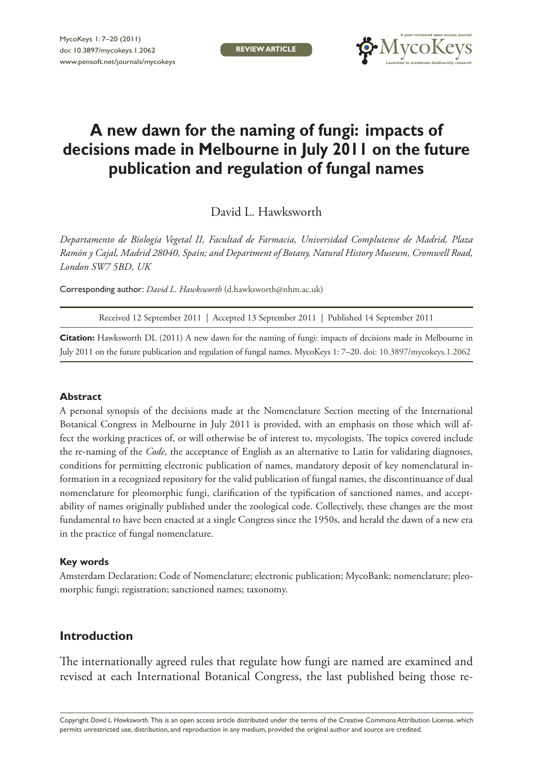**REVIEW ARTICLE**



# **A new dawn for the naming of fungi: impacts of decisions made in Melbourne in July 2011 on the future publication and regulation of fungal names**

David L. Hawksworth

*Departamento de Biología Vegetal II, Facultad de Farmacia, Universidad Complutense de Madrid, Plaza Ramón y Cajal, Madrid 28040, Spain; and Department of Botany, Natural History Museum, Cromwell Road, London SW7 5BD, UK*

Corresponding author: *David L. Hawksworth* [\(d.hawksworth@nhm.ac.uk](mailto:d.hawksworth@nhm.ac.uk))

Received 12 September 2011 | Accepted 13 September 2011 | Published 14 September 2011

**Citation:** Hawksworth DL (2011) A new dawn for the naming of fungi: impacts of decisions made in Melbourne in July 2011 on the future publication and regulation of fungal names. MycoKeys 1: 7–20. doi: 10.3897/mycokeys.1.2062

## **Abstract**

A personal synopsis of the decisions made at the Nomenclature Section meeting of the International Botanical Congress in Melbourne in July 2011 is provided, with an emphasis on those which will affect the working practices of, or will otherwise be of interest to, mycologists. The topics covered include the re-naming of the *Code*, the acceptance of English as an alternative to Latin for validating diagnoses, conditions for permitting electronic publication of names, mandatory deposit of key nomenclatural information in a recognized repository for the valid publication of fungal names, the discontinuance of dual nomenclature for pleomorphic fungi, clarification of the typification of sanctioned names, and acceptability of names originally published under the zoological code. Collectively, these changes are the most fundamental to have been enacted at a single Congress since the 1950s, and herald the dawn of a new era in the practice of fungal nomenclature.

## **Key words**

Amsterdam Declaration; Code of Nomenclature; electronic publication; MycoBank; nomenclature; pleomorphic fungi; registration; sanctioned names; taxonomy.

# **Introduction**

The internationally agreed rules that regulate how fungi are named are examined and revised at each International Botanical Congress, the last published being those re-

Copyright *David L. Hawksworth.* This is an open access article distributed under the terms of the Creative Commons Attribution License, which permits unrestricted use, distribution, and reproduction in any medium, provided the original author and source are credited.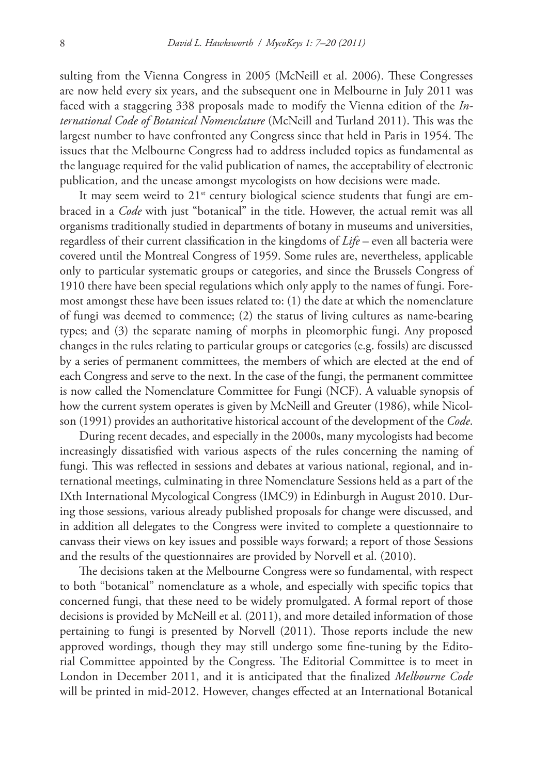sulting from the Vienna Congress in 2005 (McNeill et al. 2006). These Congresses are now held every six years, and the subsequent one in Melbourne in July 2011 was faced with a staggering 338 proposals made to modify the Vienna edition of the *International Code of Botanical Nomenclature* (McNeill and Turland 2011). This was the largest number to have confronted any Congress since that held in Paris in 1954. The issues that the Melbourne Congress had to address included topics as fundamental as the language required for the valid publication of names, the acceptability of electronic publication, and the unease amongst mycologists on how decisions were made.

It may seem weird to  $21^{st}$  century biological science students that fungi are embraced in a *Code* with just "botanical" in the title. However, the actual remit was all organisms traditionally studied in departments of botany in museums and universities, regardless of their current classification in the kingdoms of *Life* – even all bacteria were covered until the Montreal Congress of 1959. Some rules are, nevertheless, applicable only to particular systematic groups or categories, and since the Brussels Congress of 1910 there have been special regulations which only apply to the names of fungi. Foremost amongst these have been issues related to: (1) the date at which the nomenclature of fungi was deemed to commence; (2) the status of living cultures as name-bearing types; and (3) the separate naming of morphs in pleomorphic fungi. Any proposed changes in the rules relating to particular groups or categories (e.g. fossils) are discussed by a series of permanent committees, the members of which are elected at the end of each Congress and serve to the next. In the case of the fungi, the permanent committee is now called the Nomenclature Committee for Fungi (NCF). A valuable synopsis of how the current system operates is given by McNeill and Greuter (1986), while Nicolson (1991) provides an authoritative historical account of the development of the *Code*.

During recent decades, and especially in the 2000s, many mycologists had become increasingly dissatisfied with various aspects of the rules concerning the naming of fungi. This was reflected in sessions and debates at various national, regional, and international meetings, culminating in three Nomenclature Sessions held as a part of the IXth International Mycological Congress (IMC9) in Edinburgh in August 2010. During those sessions, various already published proposals for change were discussed, and in addition all delegates to the Congress were invited to complete a questionnaire to canvass their views on key issues and possible ways forward; a report of those Sessions and the results of the questionnaires are provided by Norvell et al. (2010).

The decisions taken at the Melbourne Congress were so fundamental, with respect to both "botanical" nomenclature as a whole, and especially with specific topics that concerned fungi, that these need to be widely promulgated. A formal report of those decisions is provided by McNeill et al. (2011), and more detailed information of those pertaining to fungi is presented by Norvell (2011). Those reports include the new approved wordings, though they may still undergo some fine-tuning by the Editorial Committee appointed by the Congress. The Editorial Committee is to meet in London in December 2011, and it is anticipated that the finalized *Melbourne Code* will be printed in mid-2012. However, changes effected at an International Botanical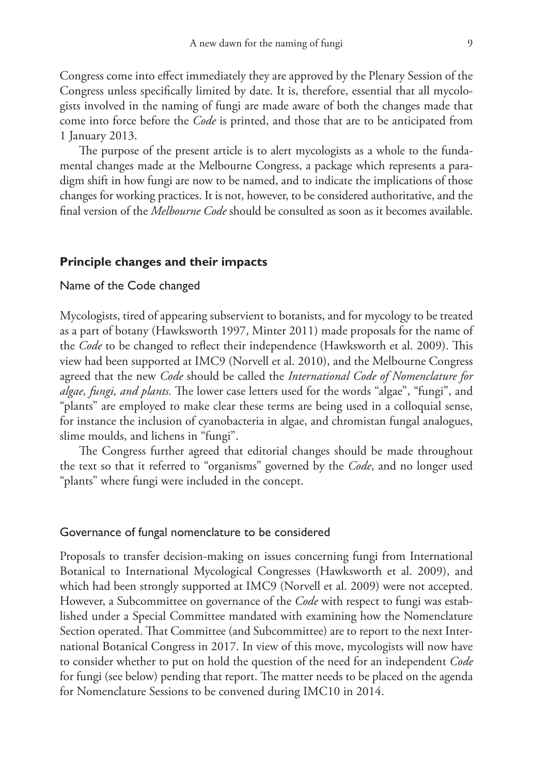Congress come into effect immediately they are approved by the Plenary Session of the Congress unless specifically limited by date. It is, therefore, essential that all mycologists involved in the naming of fungi are made aware of both the changes made that come into force before the *Code* is printed, and those that are to be anticipated from 1 January 2013.

The purpose of the present article is to alert mycologists as a whole to the fundamental changes made at the Melbourne Congress, a package which represents a paradigm shift in how fungi are now to be named, and to indicate the implications of those changes for working practices. It is not, however, to be considered authoritative, and the final version of the *Melbourne Code* should be consulted as soon as it becomes available.

# **Principle changes and their impacts**

#### Name of the Code changed

Mycologists, tired of appearing subservient to botanists, and for mycology to be treated as a part of botany (Hawksworth 1997, Minter 2011) made proposals for the name of the *Code* to be changed to reflect their independence (Hawksworth et al. 2009). This view had been supported at IMC9 (Norvell et al. 2010), and the Melbourne Congress agreed that the new *Code* should be called the *International Code of Nomenclature for algae, fungi, and plants.* The lower case letters used for the words "algae", "fungi", and "plants" are employed to make clear these terms are being used in a colloquial sense, for instance the inclusion of cyanobacteria in algae, and chromistan fungal analogues, slime moulds, and lichens in "fungi".

The Congress further agreed that editorial changes should be made throughout the text so that it referred to "organisms" governed by the *Code*, and no longer used "plants" where fungi were included in the concept.

# Governance of fungal nomenclature to be considered

Proposals to transfer decision-making on issues concerning fungi from International Botanical to International Mycological Congresses (Hawksworth et al. 2009), and which had been strongly supported at IMC9 (Norvell et al. 2009) were not accepted. However, a Subcommittee on governance of the *Code* with respect to fungi was established under a Special Committee mandated with examining how the Nomenclature Section operated. That Committee (and Subcommittee) are to report to the next International Botanical Congress in 2017. In view of this move, mycologists will now have to consider whether to put on hold the question of the need for an independent *Code* for fungi (see below) pending that report. The matter needs to be placed on the agenda for Nomenclature Sessions to be convened during IMC10 in 2014.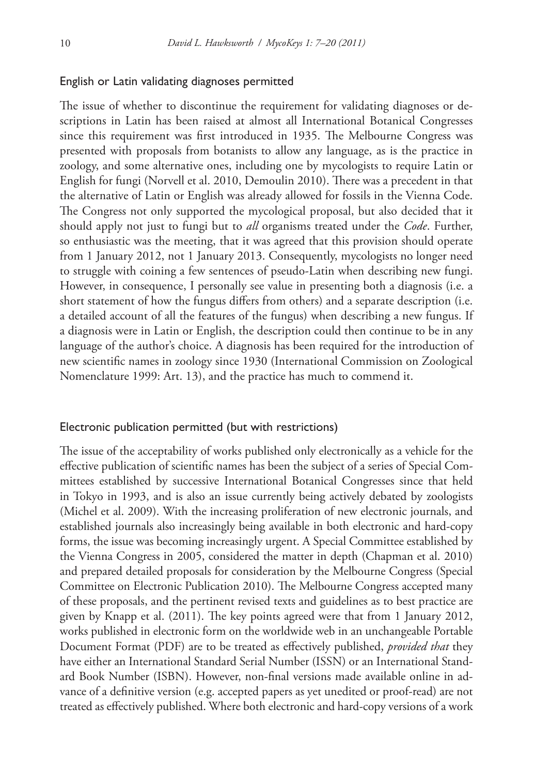## English or Latin validating diagnoses permitted

The issue of whether to discontinue the requirement for validating diagnoses or descriptions in Latin has been raised at almost all International Botanical Congresses since this requirement was first introduced in 1935. The Melbourne Congress was presented with proposals from botanists to allow any language, as is the practice in zoology, and some alternative ones, including one by mycologists to require Latin or English for fungi (Norvell et al. 2010, Demoulin 2010). There was a precedent in that the alternative of Latin or English was already allowed for fossils in the Vienna Code. The Congress not only supported the mycological proposal, but also decided that it should apply not just to fungi but to *all* organisms treated under the *Code*. Further, so enthusiastic was the meeting, that it was agreed that this provision should operate from 1 January 2012, not 1 January 2013. Consequently, mycologists no longer need to struggle with coining a few sentences of pseudo-Latin when describing new fungi. However, in consequence, I personally see value in presenting both a diagnosis (i.e. a short statement of how the fungus differs from others) and a separate description (i.e. a detailed account of all the features of the fungus) when describing a new fungus. If a diagnosis were in Latin or English, the description could then continue to be in any language of the author's choice. A diagnosis has been required for the introduction of new scientific names in zoology since 1930 (International Commission on Zoological Nomenclature 1999: Art. 13), and the practice has much to commend it.

#### Electronic publication permitted (but with restrictions)

The issue of the acceptability of works published only electronically as a vehicle for the effective publication of scientific names has been the subject of a series of Special Committees established by successive International Botanical Congresses since that held in Tokyo in 1993, and is also an issue currently being actively debated by zoologists (Michel et al. 2009). With the increasing proliferation of new electronic journals, and established journals also increasingly being available in both electronic and hard-copy forms, the issue was becoming increasingly urgent. A Special Committee established by the Vienna Congress in 2005, considered the matter in depth (Chapman et al. 2010) and prepared detailed proposals for consideration by the Melbourne Congress (Special Committee on Electronic Publication 2010). The Melbourne Congress accepted many of these proposals, and the pertinent revised texts and guidelines as to best practice are given by Knapp et al. (2011). The key points agreed were that from 1 January 2012, works published in electronic form on the worldwide web in an unchangeable Portable Document Format (PDF) are to be treated as effectively published, *provided that* they have either an International Standard Serial Number (ISSN) or an International Standard Book Number (ISBN). However, non-final versions made available online in advance of a definitive version (e.g. accepted papers as yet unedited or proof-read) are not treated as effectively published. Where both electronic and hard-copy versions of a work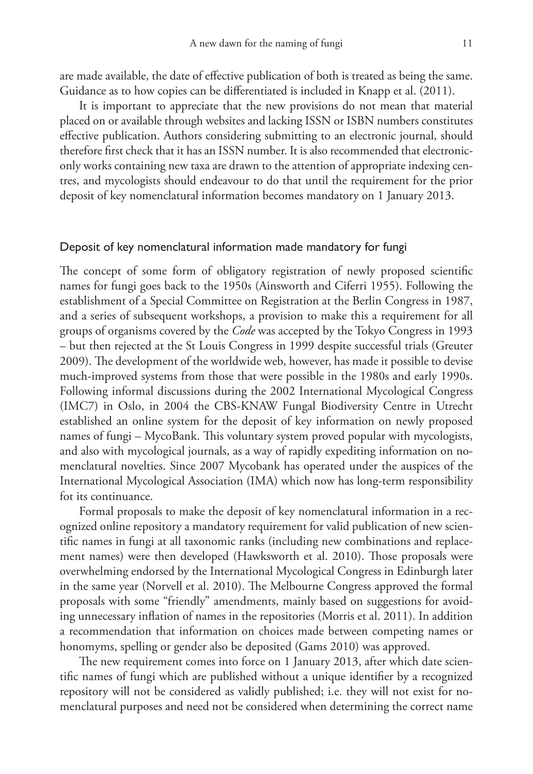are made available, the date of effective publication of both is treated as being the same. Guidance as to how copies can be differentiated is included in Knapp et al. (2011).

It is important to appreciate that the new provisions do not mean that material placed on or available through websites and lacking ISSN or ISBN numbers constitutes effective publication. Authors considering submitting to an electronic journal, should therefore first check that it has an ISSN number. It is also recommended that electroniconly works containing new taxa are drawn to the attention of appropriate indexing centres, and mycologists should endeavour to do that until the requirement for the prior deposit of key nomenclatural information becomes mandatory on 1 January 2013.

## Deposit of key nomenclatural information made mandatory for fungi

The concept of some form of obligatory registration of newly proposed scientific names for fungi goes back to the 1950s (Ainsworth and Ciferri 1955). Following the establishment of a Special Committee on Registration at the Berlin Congress in 1987, and a series of subsequent workshops, a provision to make this a requirement for all groups of organisms covered by the *Code* was accepted by the Tokyo Congress in 1993 – but then rejected at the St Louis Congress in 1999 despite successful trials (Greuter 2009). The development of the worldwide web, however, has made it possible to devise much-improved systems from those that were possible in the 1980s and early 1990s. Following informal discussions during the 2002 International Mycological Congress (IMC7) in Oslo, in 2004 the CBS-KNAW Fungal Biodiversity Centre in Utrecht established an online system for the deposit of key information on newly proposed names of fungi – MycoBank. This voluntary system proved popular with mycologists, and also with mycological journals, as a way of rapidly expediting information on nomenclatural novelties. Since 2007 Mycobank has operated under the auspices of the International Mycological Association (IMA) which now has long-term responsibility fot its continuance.

Formal proposals to make the deposit of key nomenclatural information in a recognized online repository a mandatory requirement for valid publication of new scientific names in fungi at all taxonomic ranks (including new combinations and replacement names) were then developed (Hawksworth et al. 2010). Those proposals were overwhelming endorsed by the International Mycological Congress in Edinburgh later in the same year (Norvell et al. 2010). The Melbourne Congress approved the formal proposals with some "friendly" amendments, mainly based on suggestions for avoiding unnecessary inflation of names in the repositories (Morris et al. 2011). In addition a recommendation that information on choices made between competing names or honomyms, spelling or gender also be deposited (Gams 2010) was approved.

The new requirement comes into force on 1 January 2013, after which date scientific names of fungi which are published without a unique identifier by a recognized repository will not be considered as validly published; i.e. they will not exist for nomenclatural purposes and need not be considered when determining the correct name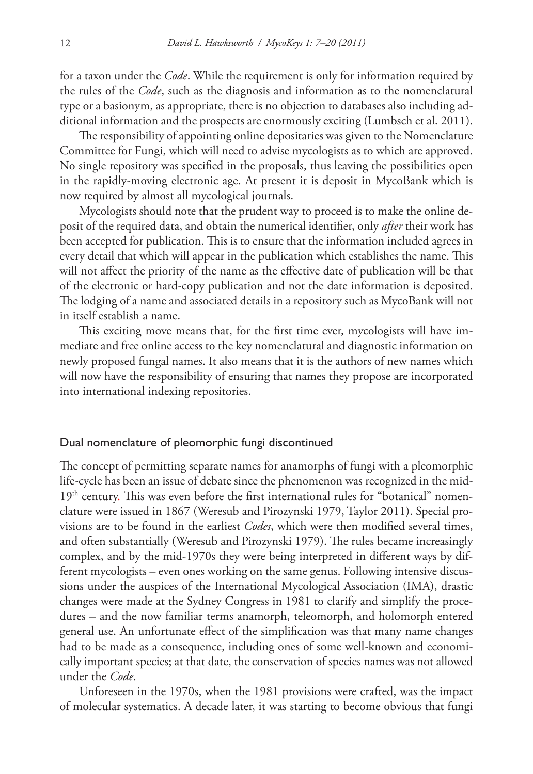for a taxon under the *Code*. While the requirement is only for information required by the rules of the *Code*, such as the diagnosis and information as to the nomenclatural type or a basionym, as appropriate, there is no objection to databases also including additional information and the prospects are enormously exciting (Lumbsch et al. 2011).

The responsibility of appointing online depositaries was given to the Nomenclature Committee for Fungi, which will need to advise mycologists as to which are approved. No single repository was specified in the proposals, thus leaving the possibilities open in the rapidly-moving electronic age. At present it is deposit in MycoBank which is now required by almost all mycological journals.

Mycologists should note that the prudent way to proceed is to make the online deposit of the required data, and obtain the numerical identifier, only *after* their work has been accepted for publication. This is to ensure that the information included agrees in every detail that which will appear in the publication which establishes the name. This will not affect the priority of the name as the effective date of publication will be that of the electronic or hard-copy publication and not the date information is deposited. The lodging of a name and associated details in a repository such as MycoBank will not in itself establish a name.

This exciting move means that, for the first time ever, mycologists will have immediate and free online access to the key nomenclatural and diagnostic information on newly proposed fungal names. It also means that it is the authors of new names which will now have the responsibility of ensuring that names they propose are incorporated into international indexing repositories.

#### Dual nomenclature of pleomorphic fungi discontinued

The concept of permitting separate names for anamorphs of fungi with a pleomorphic life-cycle has been an issue of debate since the phenomenon was recognized in the mid-19<sup>th</sup> century. This was even before the first international rules for "botanical" nomenclature were issued in 1867 (Weresub and Pirozynski 1979, Taylor 2011). Special provisions are to be found in the earliest *Codes*, which were then modified several times, and often substantially (Weresub and Pirozynski 1979). The rules became increasingly complex, and by the mid-1970s they were being interpreted in different ways by different mycologists – even ones working on the same genus. Following intensive discussions under the auspices of the International Mycological Association (IMA), drastic changes were made at the Sydney Congress in 1981 to clarify and simplify the procedures – and the now familiar terms anamorph, teleomorph, and holomorph entered general use. An unfortunate effect of the simplification was that many name changes had to be made as a consequence, including ones of some well-known and economically important species; at that date, the conservation of species names was not allowed under the *Code*.

Unforeseen in the 1970s, when the 1981 provisions were crafted, was the impact of molecular systematics. A decade later, it was starting to become obvious that fungi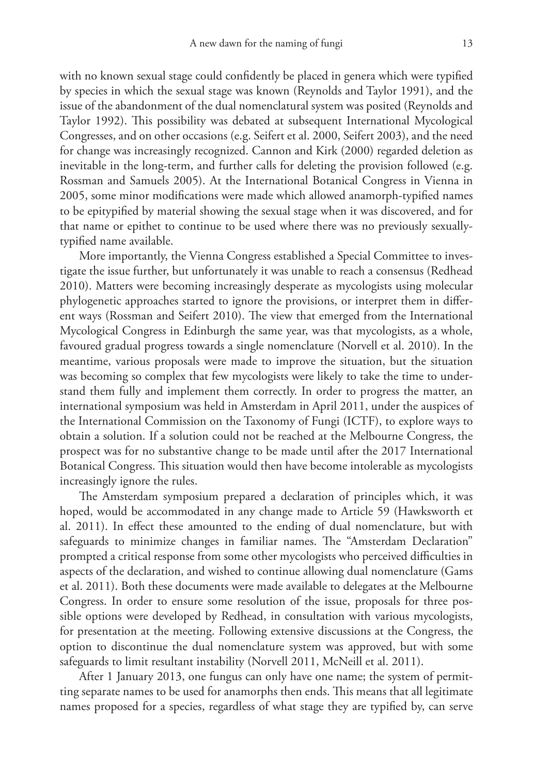with no known sexual stage could confidently be placed in genera which were typified by species in which the sexual stage was known (Reynolds and Taylor 1991), and the issue of the abandonment of the dual nomenclatural system was posited (Reynolds and Taylor 1992). This possibility was debated at subsequent International Mycological Congresses, and on other occasions (e.g. Seifert et al. 2000, Seifert 2003), and the need for change was increasingly recognized. Cannon and Kirk (2000) regarded deletion as inevitable in the long-term, and further calls for deleting the provision followed (e.g. Rossman and Samuels 2005). At the International Botanical Congress in Vienna in 2005, some minor modifications were made which allowed anamorph-typified names to be epitypified by material showing the sexual stage when it was discovered, and for that name or epithet to continue to be used where there was no previously sexuallytypified name available.

More importantly, the Vienna Congress established a Special Committee to investigate the issue further, but unfortunately it was unable to reach a consensus (Redhead 2010). Matters were becoming increasingly desperate as mycologists using molecular phylogenetic approaches started to ignore the provisions, or interpret them in different ways (Rossman and Seifert 2010). The view that emerged from the International Mycological Congress in Edinburgh the same year, was that mycologists, as a whole, favoured gradual progress towards a single nomenclature (Norvell et al. 2010). In the meantime, various proposals were made to improve the situation, but the situation was becoming so complex that few mycologists were likely to take the time to understand them fully and implement them correctly. In order to progress the matter, an international symposium was held in Amsterdam in April 2011, under the auspices of the International Commission on the Taxonomy of Fungi (ICTF), to explore ways to obtain a solution. If a solution could not be reached at the Melbourne Congress, the prospect was for no substantive change to be made until after the 2017 International Botanical Congress. This situation would then have become intolerable as mycologists increasingly ignore the rules.

The Amsterdam symposium prepared a declaration of principles which, it was hoped, would be accommodated in any change made to Article 59 (Hawksworth et al. 2011). In effect these amounted to the ending of dual nomenclature, but with safeguards to minimize changes in familiar names. The "Amsterdam Declaration" prompted a critical response from some other mycologists who perceived difficulties in aspects of the declaration, and wished to continue allowing dual nomenclature (Gams et al. 2011). Both these documents were made available to delegates at the Melbourne Congress. In order to ensure some resolution of the issue, proposals for three possible options were developed by Redhead, in consultation with various mycologists, for presentation at the meeting. Following extensive discussions at the Congress, the option to discontinue the dual nomenclature system was approved, but with some safeguards to limit resultant instability (Norvell 2011, McNeill et al. 2011).

After 1 January 2013, one fungus can only have one name; the system of permitting separate names to be used for anamorphs then ends. This means that all legitimate names proposed for a species, regardless of what stage they are typified by, can serve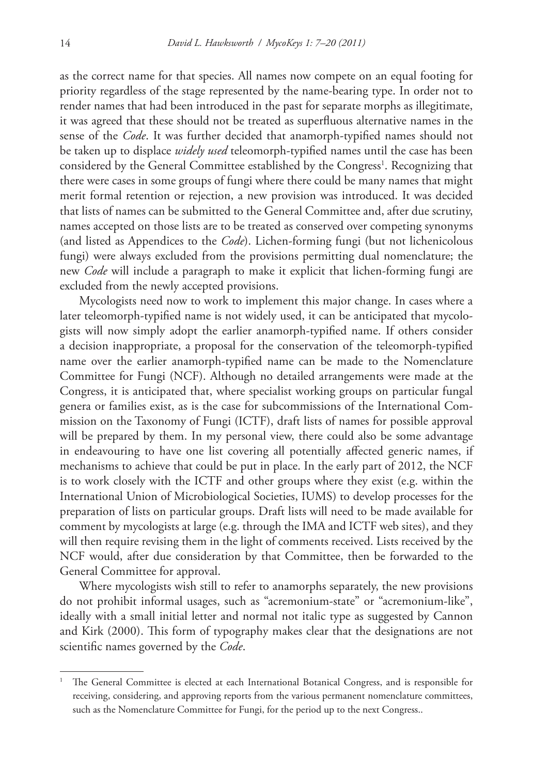as the correct name for that species. All names now compete on an equal footing for priority regardless of the stage represented by the name-bearing type. In order not to render names that had been introduced in the past for separate morphs as illegitimate, it was agreed that these should not be treated as superfluous alternative names in the sense of the *Code*. It was further decided that anamorph-typified names should not be taken up to displace *widely used* teleomorph-typified names until the case has been considered by the General Committee established by the Congress<sup>1</sup>. Recognizing that there were cases in some groups of fungi where there could be many names that might merit formal retention or rejection, a new provision was introduced. It was decided that lists of names can be submitted to the General Committee and, after due scrutiny, names accepted on those lists are to be treated as conserved over competing synonyms (and listed as Appendices to the *Code*). Lichen-forming fungi (but not lichenicolous fungi) were always excluded from the provisions permitting dual nomenclature; the new *Code* will include a paragraph to make it explicit that lichen-forming fungi are excluded from the newly accepted provisions.

Mycologists need now to work to implement this major change. In cases where a later teleomorph-typified name is not widely used, it can be anticipated that mycologists will now simply adopt the earlier anamorph-typified name. If others consider a decision inappropriate, a proposal for the conservation of the teleomorph-typified name over the earlier anamorph-typified name can be made to the Nomenclature Committee for Fungi (NCF). Although no detailed arrangements were made at the Congress, it is anticipated that, where specialist working groups on particular fungal genera or families exist, as is the case for subcommissions of the International Commission on the Taxonomy of Fungi (ICTF), draft lists of names for possible approval will be prepared by them. In my personal view, there could also be some advantage in endeavouring to have one list covering all potentially affected generic names, if mechanisms to achieve that could be put in place. In the early part of 2012, the NCF is to work closely with the ICTF and other groups where they exist (e.g. within the International Union of Microbiological Societies, IUMS) to develop processes for the preparation of lists on particular groups. Draft lists will need to be made available for comment by mycologists at large (e.g. through the IMA and ICTF web sites), and they will then require revising them in the light of comments received. Lists received by the NCF would, after due consideration by that Committee, then be forwarded to the General Committee for approval.

Where mycologists wish still to refer to anamorphs separately, the new provisions do not prohibit informal usages, such as "acremonium-state" or "acremonium-like", ideally with a small initial letter and normal not italic type as suggested by Cannon and Kirk (2000). This form of typography makes clear that the designations are not scientific names governed by the *Code*.

<sup>1</sup> The General Committee is elected at each International Botanical Congress, and is responsible for receiving, considering, and approving reports from the various permanent nomenclature committees, such as the Nomenclature Committee for Fungi, for the period up to the next Congress..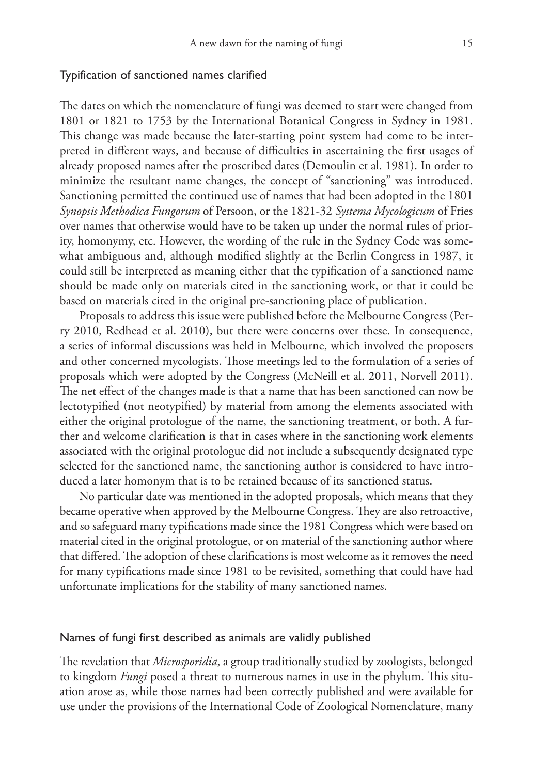## Typification of sanctioned names clarified

The dates on which the nomenclature of fungi was deemed to start were changed from 1801 or 1821 to 1753 by the International Botanical Congress in Sydney in 1981. This change was made because the later-starting point system had come to be interpreted in different ways, and because of difficulties in ascertaining the first usages of already proposed names after the proscribed dates (Demoulin et al. 1981). In order to minimize the resultant name changes, the concept of "sanctioning" was introduced. Sanctioning permitted the continued use of names that had been adopted in the 1801 *Synopsis Methodica Fungorum* of Persoon, or the 1821-32 *Systema Mycologicum* of Fries over names that otherwise would have to be taken up under the normal rules of priority, homonymy, etc. However, the wording of the rule in the Sydney Code was somewhat ambiguous and, although modified slightly at the Berlin Congress in 1987, it could still be interpreted as meaning either that the typification of a sanctioned name should be made only on materials cited in the sanctioning work, or that it could be based on materials cited in the original pre-sanctioning place of publication.

Proposals to address this issue were published before the Melbourne Congress (Perry 2010, Redhead et al. 2010), but there were concerns over these. In consequence, a series of informal discussions was held in Melbourne, which involved the proposers and other concerned mycologists. Those meetings led to the formulation of a series of proposals which were adopted by the Congress (McNeill et al. 2011, Norvell 2011). The net effect of the changes made is that a name that has been sanctioned can now be lectotypified (not neotypified) by material from among the elements associated with either the original protologue of the name, the sanctioning treatment, or both. A further and welcome clarification is that in cases where in the sanctioning work elements associated with the original protologue did not include a subsequently designated type selected for the sanctioned name, the sanctioning author is considered to have introduced a later homonym that is to be retained because of its sanctioned status.

No particular date was mentioned in the adopted proposals, which means that they became operative when approved by the Melbourne Congress. They are also retroactive, and so safeguard many typifications made since the 1981 Congress which were based on material cited in the original protologue, or on material of the sanctioning author where that differed. The adoption of these clarifications is most welcome as it removes the need for many typifications made since 1981 to be revisited, something that could have had unfortunate implications for the stability of many sanctioned names.

#### Names of fungi first described as animals are validly published

The revelation that *Microsporidia*, a group traditionally studied by zoologists, belonged to kingdom *Fungi* posed a threat to numerous names in use in the phylum. This situation arose as, while those names had been correctly published and were available for use under the provisions of the International Code of Zoological Nomenclature, many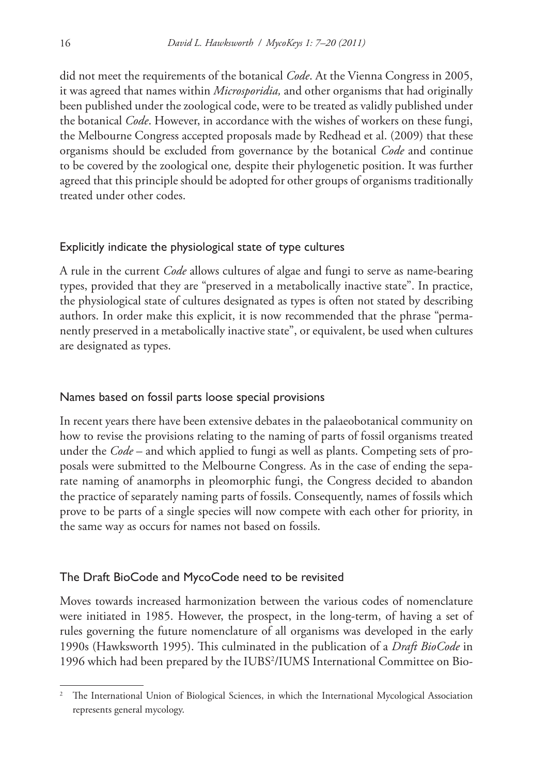did not meet the requirements of the botanical *Code*. At the Vienna Congress in 2005, it was agreed that names within *Microsporidia,* and other organisms that had originally been published under the zoological code, were to be treated as validly published under the botanical *Code*. However, in accordance with the wishes of workers on these fungi, the Melbourne Congress accepted proposals made by Redhead et al. (2009) that these organisms should be excluded from governance by the botanical *Code* and continue to be covered by the zoological one*,* despite their phylogenetic position. It was further agreed that this principle should be adopted for other groups of organisms traditionally treated under other codes.

# Explicitly indicate the physiological state of type cultures

A rule in the current *Code* allows cultures of algae and fungi to serve as name-bearing types, provided that they are "preserved in a metabolically inactive state". In practice, the physiological state of cultures designated as types is often not stated by describing authors. In order make this explicit, it is now recommended that the phrase "permanently preserved in a metabolically inactive state", or equivalent, be used when cultures are designated as types.

# Names based on fossil parts loose special provisions

In recent years there have been extensive debates in the palaeobotanical community on how to revise the provisions relating to the naming of parts of fossil organisms treated under the *Code* – and which applied to fungi as well as plants. Competing sets of proposals were submitted to the Melbourne Congress. As in the case of ending the separate naming of anamorphs in pleomorphic fungi, the Congress decided to abandon the practice of separately naming parts of fossils. Consequently, names of fossils which prove to be parts of a single species will now compete with each other for priority, in the same way as occurs for names not based on fossils.

# The Draft BioCode and MycoCode need to be revisited

Moves towards increased harmonization between the various codes of nomenclature were initiated in 1985. However, the prospect, in the long-term, of having a set of rules governing the future nomenclature of all organisms was developed in the early 1990s (Hawksworth 1995). This culminated in the publication of a *Draft BioCode* in 1996 which had been prepared by the IUBS<sup>2</sup>/IUMS International Committee on Bio-

<sup>&</sup>lt;sup>2</sup> The International Union of Biological Sciences, in which the International Mycological Association represents general mycology.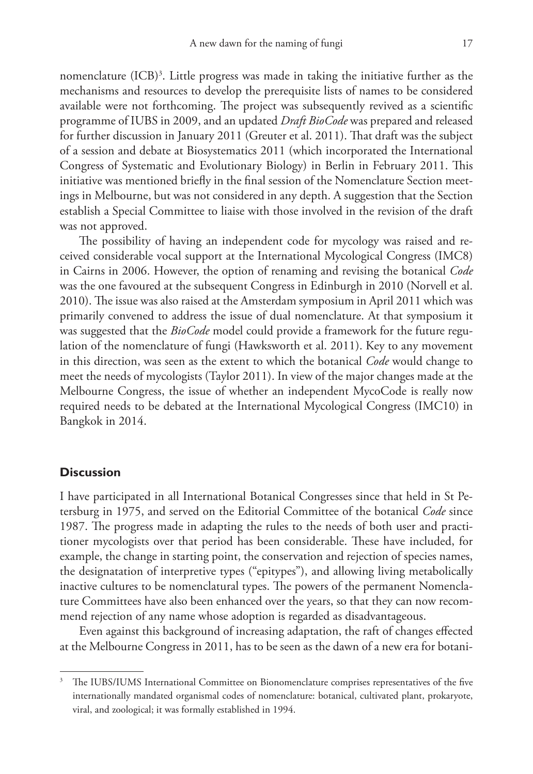nomenclature (ICB)3 . Little progress was made in taking the initiative further as the mechanisms and resources to develop the prerequisite lists of names to be considered available were not forthcoming. The project was subsequently revived as a scientific programme of IUBS in 2009, and an updated *Draft BioCode* was prepared and released for further discussion in January 2011 (Greuter et al. 2011). That draft was the subject of a session and debate at Biosystematics 2011 (which incorporated the International Congress of Systematic and Evolutionary Biology) in Berlin in February 2011. This initiative was mentioned briefly in the final session of the Nomenclature Section meetings in Melbourne, but was not considered in any depth. A suggestion that the Section establish a Special Committee to liaise with those involved in the revision of the draft was not approved.

The possibility of having an independent code for mycology was raised and received considerable vocal support at the International Mycological Congress (IMC8) in Cairns in 2006. However, the option of renaming and revising the botanical *Code* was the one favoured at the subsequent Congress in Edinburgh in 2010 (Norvell et al. 2010). The issue was also raised at the Amsterdam symposium in April 2011 which was primarily convened to address the issue of dual nomenclature. At that symposium it was suggested that the *BioCode* model could provide a framework for the future regulation of the nomenclature of fungi (Hawksworth et al. 2011). Key to any movement in this direction, was seen as the extent to which the botanical *Code* would change to meet the needs of mycologists (Taylor 2011). In view of the major changes made at the Melbourne Congress, the issue of whether an independent MycoCode is really now required needs to be debated at the International Mycological Congress (IMC10) in Bangkok in 2014.

# **Discussion**

I have participated in all International Botanical Congresses since that held in St Petersburg in 1975, and served on the Editorial Committee of the botanical *Code* since 1987. The progress made in adapting the rules to the needs of both user and practitioner mycologists over that period has been considerable. These have included, for example, the change in starting point, the conservation and rejection of species names, the designatation of interpretive types ("epitypes"), and allowing living metabolically inactive cultures to be nomenclatural types. The powers of the permanent Nomenclature Committees have also been enhanced over the years, so that they can now recommend rejection of any name whose adoption is regarded as disadvantageous.

Even against this background of increasing adaptation, the raft of changes effected at the Melbourne Congress in 2011, has to be seen as the dawn of a new era for botani-

<sup>3</sup> The IUBS/IUMS International Committee on Bionomenclature comprises representatives of the five internationally mandated organismal codes of nomenclature: botanical, cultivated plant, prokaryote, viral, and zoological; it was formally established in 1994.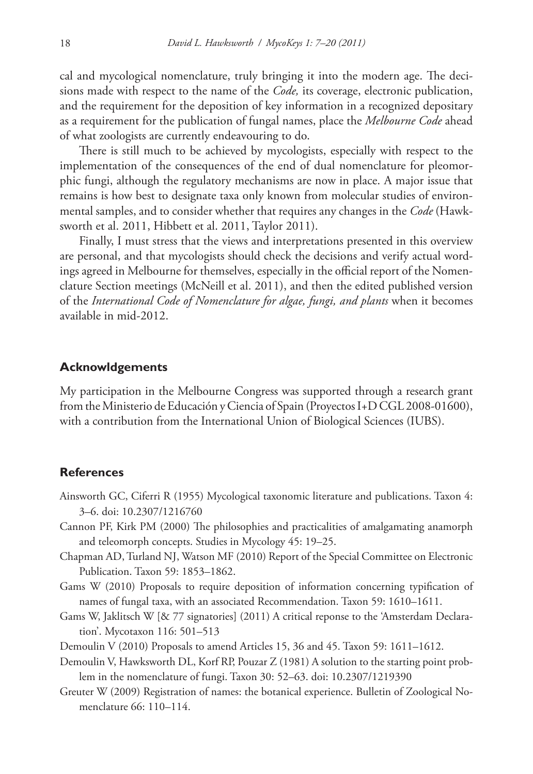cal and mycological nomenclature, truly bringing it into the modern age. The decisions made with respect to the name of the *Code,* its coverage, electronic publication, and the requirement for the deposition of key information in a recognized depositary as a requirement for the publication of fungal names, place the *Melbourne Code* ahead of what zoologists are currently endeavouring to do.

There is still much to be achieved by mycologists, especially with respect to the implementation of the consequences of the end of dual nomenclature for pleomorphic fungi, although the regulatory mechanisms are now in place. A major issue that remains is how best to designate taxa only known from molecular studies of environmental samples, and to consider whether that requires any changes in the *Code* (Hawksworth et al. 2011, Hibbett et al. 2011, Taylor 2011).

Finally, I must stress that the views and interpretations presented in this overview are personal, and that mycologists should check the decisions and verify actual wordings agreed in Melbourne for themselves, especially in the official report of the Nomenclature Section meetings (McNeill et al. 2011), and then the edited published version of the *International Code of Nomenclature for algae, fungi, and plants* when it becomes available in mid-2012.

## **Acknowldgements**

My participation in the Melbourne Congress was supported through a research grant from the Ministerio de Educación y Ciencia of Spain (Proyectos I+D CGL 2008-01600), with a contribution from the International Union of Biological Sciences (IUBS).

## **References**

- Ainsworth GC, Ciferri R (1955) Mycological taxonomic literature and publications. Taxon 4: 3–6. doi: 10.2307/1216760
- Cannon PF, Kirk PM (2000) The philosophies and practicalities of amalgamating anamorph and teleomorph concepts. Studies in Mycology 45: 19–25.
- Chapman AD, Turland NJ, Watson MF (2010) Report of the Special Committee on Electronic Publication. Taxon 59: 1853–1862.
- Gams W (2010) Proposals to require deposition of information concerning typification of names of fungal taxa, with an associated Recommendation. Taxon 59: 1610–1611.
- Gams W, Jaklitsch W [& 77 signatories] (2011) A critical reponse to the 'Amsterdam Declaration'. Mycotaxon 116: 501–513
- Demoulin V (2010) Proposals to amend Articles 15, 36 and 45. Taxon 59: 1611–1612.
- Demoulin V, Hawksworth DL, Korf RP, Pouzar Z (1981) A solution to the starting point problem in the nomenclature of fungi. Taxon 30: 52–63. doi: 10.2307/1219390
- Greuter W (2009) Registration of names: the botanical experience. Bulletin of Zoological Nomenclature 66: 110–114.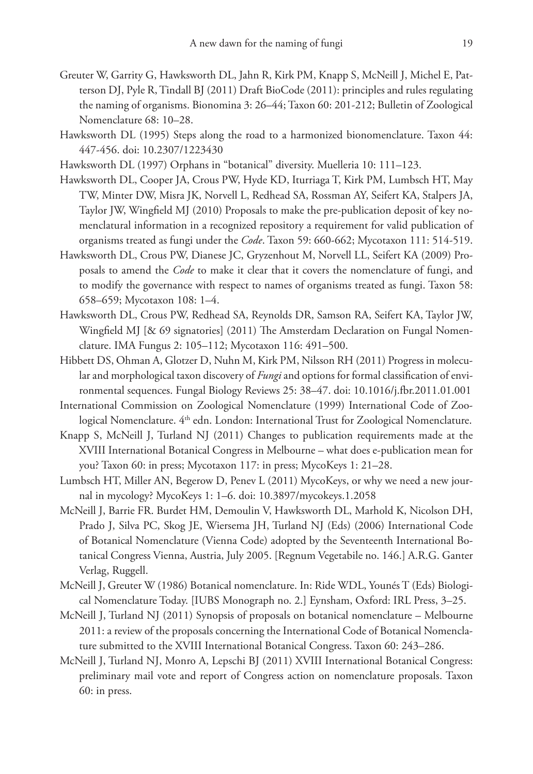- Greuter W, Garrity G, Hawksworth DL, Jahn R, Kirk PM, Knapp S, McNeill J, Michel E, Patterson DJ, Pyle R, Tindall BJ (2011) Draft BioCode (2011): principles and rules regulating the naming of organisms. Bionomina 3: 26–44; Taxon 60: 201-212; Bulletin of Zoological Nomenclature 68: 10–28.
- Hawksworth DL (1995) Steps along the road to a harmonized bionomenclature. Taxon 44: 447-456. doi: 10.2307/1223430
- Hawksworth DL (1997) Orphans in "botanical" diversity. Muelleria 10: 111–123.
- Hawksworth DL, Cooper JA, Crous PW, Hyde KD, Iturriaga T, Kirk PM, Lumbsch HT, May TW, Minter DW, Misra JK, Norvell L, Redhead SA, Rossman AY, Seifert KA, Stalpers JA, Taylor JW, Wingfield MJ (2010) Proposals to make the pre-publication deposit of key nomenclatural information in a recognized repository a requirement for valid publication of organisms treated as fungi under the *Code*. Taxon 59: 660-662; Mycotaxon 111: 514-519.
- Hawksworth DL, Crous PW, Dianese JC, Gryzenhout M, Norvell LL, Seifert KA (2009) Proposals to amend the *Code* to make it clear that it covers the nomenclature of fungi, and to modify the governance with respect to names of organisms treated as fungi. Taxon 58: 658–659; Mycotaxon 108: 1–4.
- Hawksworth DL, Crous PW, Redhead SA, Reynolds DR, Samson RA, Seifert KA, Taylor JW, Wingfield MJ [& 69 signatories] (2011) The Amsterdam Declaration on Fungal Nomenclature. IMA Fungus 2: 105–112; Mycotaxon 116: 491–500.
- Hibbett DS, Ohman A, Glotzer D, Nuhn M, Kirk PM, Nilsson RH (2011) Progress in molecular and morphological taxon discovery of *Fungi* and options for formal classification of environmental sequences. Fungal Biology Reviews 25: 38–47. doi: 10.1016/j.fbr.2011.01.001
- International Commission on Zoological Nomenclature (1999) International Code of Zoological Nomenclature. 4<sup>th</sup> edn. London: International Trust for Zoological Nomenclature.
- Knapp S, McNeill J, Turland NJ (2011) Changes to publication requirements made at the XVIII International Botanical Congress in Melbourne – what does e-publication mean for you? Taxon 60: in press; Mycotaxon 117: in press; MycoKeys 1: 21–28.
- Lumbsch HT, Miller AN, Begerow D, Penev L (2011) MycoKeys, or why we need a new journal in mycology? MycoKeys 1: 1–6. doi: 10.3897/mycokeys.1.2058
- McNeill J, Barrie FR. Burdet HM, Demoulin V, Hawksworth DL, Marhold K, Nicolson DH, Prado J, Silva PC, Skog JE, Wiersema JH, Turland NJ (Eds) (2006) International Code of Botanical Nomenclature (Vienna Code) adopted by the Seventeenth International Botanical Congress Vienna, Austria, July 2005. [Regnum Vegetabile no. 146.] A.R.G. Ganter Verlag, Ruggell.
- McNeill J, Greuter W (1986) Botanical nomenclature. In: Ride WDL, Younés T (Eds) Biological Nomenclature Today. [IUBS Monograph no. 2.] Eynsham, Oxford: IRL Press, 3–25.
- McNeill J, Turland NJ (2011) Synopsis of proposals on botanical nomenclature Melbourne 2011: a review of the proposals concerning the International Code of Botanical Nomenclature submitted to the XVIII International Botanical Congress. Taxon 60: 243–286.
- McNeill J, Turland NJ, Monro A, Lepschi BJ (2011) XVIII International Botanical Congress: preliminary mail vote and report of Congress action on nomenclature proposals. Taxon 60: in press.